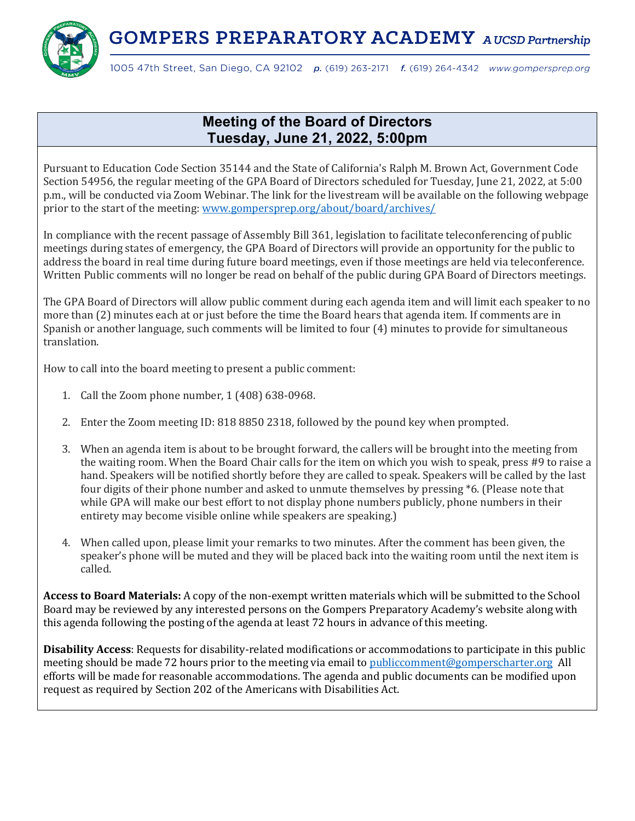**GOMPERS PREPARATORY ACADEMY** AUCSD Partnership



1005 47th Street, San Diego, CA 92102 p. (619) 263-2171 f. (619) 264-4342 www.gompersprep.org

## **Meeting of the Board of Directors Tuesday, June 21, 2022, 5:00pm**

Pursuant to Education Code Section 35144 and the State of California's Ralph M. Brown Act, Government Code Section 54956, the regular meeting of the GPA Board of Directors scheduled for Tuesday, June 21, 2022, at 5:00 p.m., will be conducted via Zoom Webinar. The link for the livestream will be available on the following webpage prior to the start of the meeting: www.gompersprep.org/about/board/archives/

In compliance with the recent passage of Assembly Bill 361, legislation to facilitate teleconferencing of public meetings during states of emergency, the GPA Board of Directors will provide an opportunity for the public to address the board in real time during future board meetings, even if those meetings are held via teleconference. Written Public comments will no longer be read on behalf of the public during GPA Board of Directors meetings.

The GPA Board of Directors will allow public comment during each agenda item and will limit each speaker to no more than (2) minutes each at or just before the time the Board hears that agenda item. If comments are in Spanish or another language, such comments will be limited to four  $(4)$  minutes to provide for simultaneous translation.

How to call into the board meeting to present a public comment:

- 1. Call the Zoom phone number,  $1(408)$  638-0968.
- 2. Enter the Zoom meeting ID: 818 8850 2318, followed by the pound key when prompted.
- 3. When an agenda item is about to be brought forward, the callers will be brought into the meeting from the waiting room. When the Board Chair calls for the item on which you wish to speak, press #9 to raise a hand. Speakers will be notified shortly before they are called to speak. Speakers will be called by the last four digits of their phone number and asked to unmute themselves by pressing \*6. (Please note that while GPA will make our best effort to not display phone numbers publicly, phone numbers in their entirety may become visible online while speakers are speaking.)
- 4. When called upon, please limit your remarks to two minutes. After the comment has been given, the speaker's phone will be muted and they will be placed back into the waiting room until the next item is called.

**Access to Board Materials:** A copy of the non-exempt written materials which will be submitted to the School Board may be reviewed by any interested persons on the Gompers Preparatory Academy's website along with this agenda following the posting of the agenda at least 72 hours in advance of this meeting.

**Disability Access**: Requests for disability-related modifications or accommodations to participate in this public meeting should be made 72 hours prior to the meeting via email to publiccomment@gomperscharter.org All efforts will be made for reasonable accommodations. The agenda and public documents can be modified upon request as required by Section 202 of the Americans with Disabilities Act.